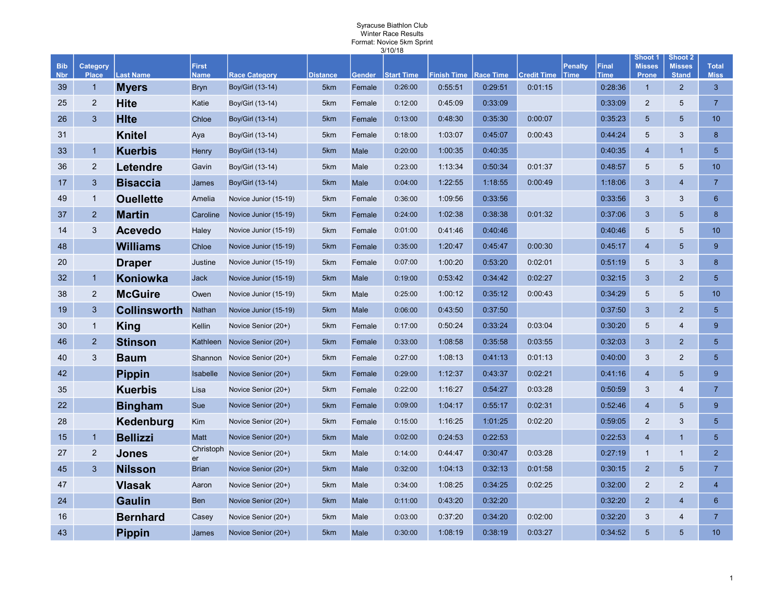| Winter Race Results<br>Format: Novice 5km Sprint |                          |                     |                             |                       |                 |               |                   |                              |         |                    |                               |                             |                               |                               |                             |
|--------------------------------------------------|--------------------------|---------------------|-----------------------------|-----------------------|-----------------|---------------|-------------------|------------------------------|---------|--------------------|-------------------------------|-----------------------------|-------------------------------|-------------------------------|-----------------------------|
|                                                  |                          |                     |                             |                       |                 |               | 3/10/18           |                              |         |                    |                               |                             | <b>Shoot 1</b>                | Shoot 2                       |                             |
| <b>Bib</b><br><b>Nbr</b>                         | Category<br><b>Place</b> | <b>Last Name</b>    | <b>First</b><br><b>Name</b> | <b>Race Category</b>  | <b>Distance</b> | <b>Gender</b> | <b>Start Time</b> | <b>Finish Time Race Time</b> |         | <b>Credit Time</b> | <b>Penalty</b><br><b>Time</b> | <b>Final</b><br><b>Time</b> | <b>Misses</b><br><b>Prone</b> | <b>Misses</b><br><b>Stand</b> | <b>Total</b><br><b>Miss</b> |
| 39                                               | $\mathbf{1}$             | <b>Myers</b>        | <b>Bryn</b>                 | Boy/Girl (13-14)      | 5km             | Female        | 0:26:00           | 0:55:51                      | 0:29:51 | 0:01:15            |                               | 0:28:36                     | $\overline{1}$                | $\overline{2}$                | $\mathbf{3}$                |
| 25                                               | $\overline{2}$           | Hite                | Katie                       | Boy/Girl (13-14)      | 5km             | Female        | 0:12:00           | 0:45:09                      | 0:33:09 |                    |                               | 0:33:09                     | $\overline{2}$                | 5                             | $\overline{7}$              |
| 26                                               | 3                        | <b>H</b> Ite        | Chloe                       | Boy/Girl (13-14)      | 5km             | Female        | 0:13:00           | 0:48:30                      | 0:35:30 | 0:00:07            |                               | 0:35:23                     | 5                             | $5\phantom{.}$                | 10 <sup>1</sup>             |
| 31                                               |                          | <b>Knitel</b>       | Aya                         | Boy/Girl (13-14)      | 5km             | Female        | 0:18:00           | 1:03:07                      | 0:45:07 | 0:00:43            |                               | 0:44:24                     | 5                             | 3                             | 8                           |
| 33                                               | $\mathbf{1}$             | <b>Kuerbis</b>      | Henry                       | Boy/Girl (13-14)      | 5km             | Male          | 0:20:00           | 1:00:35                      | 0:40:35 |                    |                               | 0:40:35                     | $\overline{4}$                | $\mathbf{1}$                  | 5 <sup>5</sup>              |
| 36                                               | $\overline{2}$           | Letendre            | Gavin                       | Boy/Girl (13-14)      | 5km             | Male          | 0:23:00           | 1:13:34                      | 0:50:34 | 0:01:37            |                               | 0:48:57                     | 5                             | 5                             | 10 <sup>1</sup>             |
| 17                                               | 3                        | <b>Bisaccia</b>     | James                       | Boy/Girl (13-14)      | 5km             | Male          | 0:04:00           | 1:22:55                      | 1:18:55 | 0:00:49            |                               | 1:18:06                     | 3                             | $\overline{4}$                | $\overline{7}$              |
| 49                                               | $\mathbf{1}$             | <b>Ouellette</b>    | Amelia                      | Novice Junior (15-19) | 5km             | Female        | 0:36:00           | 1:09:56                      | 0:33:56 |                    |                               | 0:33:56                     | 3                             | 3                             | $6\phantom{1}$              |
| 37                                               | 2                        | <b>Martin</b>       | Caroline                    | Novice Junior (15-19) | 5km             | Female        | 0:24:00           | 1:02:38                      | 0:38:38 | 0:01:32            |                               | 0:37:06                     | 3                             | 5                             | 8                           |
| 14                                               | 3                        | <b>Acevedo</b>      | Haley                       | Novice Junior (15-19) | 5km             | Female        | 0:01:00           | 0:41:46                      | 0:40:46 |                    |                               | 0:40:46                     | 5                             | 5                             | 10                          |
| 48                                               |                          | Williams            | Chloe                       | Novice Junior (15-19) | 5km             | Female        | 0:35:00           | 1:20:47                      | 0:45:47 | 0:00:30            |                               | 0:45:17                     | $\overline{4}$                | 5                             | 9                           |
| 20                                               |                          | <b>Draper</b>       | Justine                     | Novice Junior (15-19) | 5km             | Female        | 0:07:00           | 1:00:20                      | 0:53:20 | 0:02:01            |                               | 0:51:19                     | 5                             | 3                             | $\boldsymbol{8}$            |
| 32 <sub>2</sub>                                  | $\overline{1}$           | Koniowka            | <b>Jack</b>                 | Novice Junior (15-19) | 5km             | Male          | 0:19:00           | 0:53:42                      | 0:34:42 | 0:02:27            |                               | 0:32:15                     | 3                             | $\overline{2}$                | 5 <sup>5</sup>              |
| 38                                               | $\overline{2}$           | <b>McGuire</b>      | Owen                        | Novice Junior (15-19) | 5km             | Male          | 0:25:00           | 1:00:12                      | 0:35:12 | 0:00:43            |                               | 0:34:29                     | 5                             | 5                             | 10                          |
| 19                                               | 3                        | <b>Collinsworth</b> | <b>Nathan</b>               | Novice Junior (15-19) | 5km             | Male          | 0:06:00           | 0:43:50                      | 0:37:50 |                    |                               | 0:37:50                     | 3                             | $\overline{2}$                | 5 <sup>5</sup>              |
| 30                                               | $\mathbf{1}$             | <b>King</b>         | Kellin                      | Novice Senior (20+)   | 5km             | Female        | 0:17:00           | 0:50:24                      | 0:33:24 | 0:03:04            |                               | 0:30:20                     | 5                             | $\overline{\mathbf{4}}$       | 9                           |
| 46                                               | $\overline{c}$           | <b>Stinson</b>      | Kathleen                    | Novice Senior (20+)   | 5km             | Female        | 0:33:00           | 1:08:58                      | 0:35:58 | 0:03:55            |                               | 0:32:03                     | 3                             | $\overline{2}$                | $5\overline{5}$             |
| 40                                               | 3                        | <b>Baum</b>         | Shannon                     | Novice Senior (20+)   | 5km             | Female        | 0:27:00           | 1:08:13                      | 0:41:13 | 0:01:13            |                               | 0:40:00                     | 3                             | $\overline{2}$                | $5\phantom{.0}$             |
| 42                                               |                          | <b>Pippin</b>       | Isabelle                    | Novice Senior (20+)   | 5km             | Female        | 0:29:00           | 1:12:37                      | 0:43:37 | 0:02:21            |                               | 0:41:16                     | $\overline{4}$                | $5\phantom{1}$                | 9                           |
| 35                                               |                          | <b>Kuerbis</b>      | Lisa                        | Novice Senior (20+)   | 5km             | Female        | 0:22:00           | 1:16:27                      | 0:54:27 | 0:03:28            |                               | 0:50:59                     | 3                             | $\overline{4}$                | $\overline{7}$              |
| 22                                               |                          | <b>Bingham</b>      | Sue                         | Novice Senior (20+)   | 5km             | Female        | 0:09:00           | 1:04:17                      | 0:55:17 | 0:02:31            |                               | 0:52:46                     | $\overline{4}$                | 5                             | 9                           |
| 28                                               |                          | Kedenburg           | Kim                         | Novice Senior (20+)   | 5km             | Female        | 0:15:00           | 1:16:25                      | 1:01:25 | 0:02:20            |                               | 0:59:05                     | $\overline{c}$                | 3                             | $5\overline{5}$             |
| 15                                               | $\mathbf{1}$             | <b>Bellizzi</b>     | <b>Matt</b>                 | Novice Senior (20+)   | 5km             | Male          | 0:02:00           | 0:24:53                      | 0:22:53 |                    |                               | 0:22:53                     | $\overline{4}$                | $\mathbf{1}$                  | $5\phantom{.}$              |
| 27                                               | $\overline{2}$           | <b>Jones</b>        | Christoph<br>er             | Novice Senior (20+)   | 5km             | Male          | 0:14:00           | 0:44:47                      | 0:30:47 | 0:03:28            |                               | 0:27:19                     | $\mathbf{1}$                  | $\mathbf{1}$                  | $\overline{2}$              |
| 45                                               | 3                        | <b>Nilsson</b>      | <b>Brian</b>                | Novice Senior (20+)   | 5km             | Male          | 0:32:00           | 1:04:13                      | 0:32:13 | 0:01:58            |                               | 0:30:15                     | $\overline{2}$                | 5                             | $\overline{7}$              |
| 47                                               |                          | <b>Vlasak</b>       | Aaron                       | Novice Senior (20+)   | 5km             | Male          | 0:34:00           | 1:08:25                      | 0:34:25 | 0:02:25            |                               | 0:32:00                     | $\overline{c}$                | $\overline{2}$                | $\overline{4}$              |
| 24                                               |                          | <b>Gaulin</b>       | <b>Ben</b>                  | Novice Senior (20+)   | 5km             | Male          | 0:11:00           | 0:43:20                      | 0:32:20 |                    |                               | 0:32:20                     | $\overline{2}$                | $\overline{4}$                | $6\phantom{1}$              |
| 16                                               |                          | <b>Bernhard</b>     | Casey                       | Novice Senior (20+)   | 5km             | Male          | 0:03:00           | 0:37:20                      | 0:34:20 | 0:02:00            |                               | 0:32:20                     | 3                             | $\overline{4}$                | $\overline{7}$              |
| 43                                               |                          | <b>Pippin</b>       | James                       | Novice Senior (20+)   | 5km             | Male          | 0:30:00           | 1:08:19                      | 0:38:19 | 0:03:27            |                               | 0:34:52                     | 5                             | 5                             | 10 <sup>1</sup>             |

Syracuse Biathlon Club